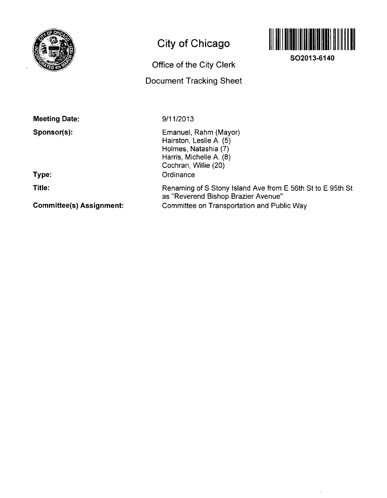

## **City of Chicago**

# Office of the City Clerk

## Document Tracking Sheet



**SO2013-6140** 

**Meeting Date:** 

**Sponsor(s):** 

9/11/2013

Emanuel, Rahm (Mayor) Hairston, Leslie A. (5)

**Type:** 

**Title:** 

**Commlttee(s) Assignment:** 

### Holmes, Natashia (7) Harris, Michelle A. (8) Cochran, Willie (20) **Ordinance** Renaming of S Stony Island Ave from E 56th St to E 95th St as "Reverend Bishop Brazier Avenue"

Committee on Transportation and Public Way